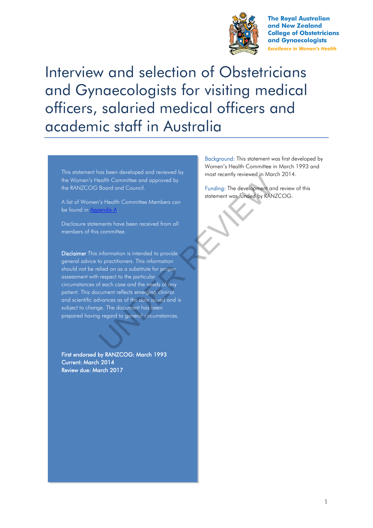

**The Royal Australian** and New Zealand **College of Obstetricians** and Gynaecologists **Excellence in Women's Health** 

Interview and selection of Obstetricians and Gynaecologists for visiting medical officers, salaried medical officers and academic staff in Australia

This statement has been developed and reviewed by the Women's Health Committee and approved by the RANZCOG Board and Council.

A list of Women's Health Committee Members can be found in Appendix A.

Disclosure statements have been received from all members of this committee.

Disclaimer This information is intended to provide general advice to practitioners. This information should not be relied on as a substitute for proper assessment with respect to the particular circumstances of each case and the needs of any patient. This document reflects emerging clinical and scientific advances as of the date issued and is subject to change. The document has been prepared having regard to general circumstances. For the distribution of the distribution of the distribution of the distribution of the distribution of the distribution of the distribution of the distribution of the distribution of the properties. This information of th

First endorsed by RANZCOG: March 1993 Current: March 2014 Review due: March 2017

Background: This statement was first developed by Women's Health Committee in March 1993 and most recently reviewed in March 2014.

Funding: The development and review of this statement was funded by RANZCOG.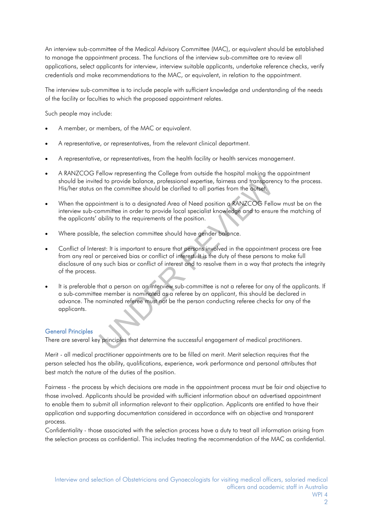An interview sub-committee of the Medical Advisory Committee (MAC), or equivalent should be established to manage the appointment process. The functions of the interview sub-committee are to review all applications, select applicants for interview, interview suitable applicants, undertake reference checks, verify credentials and make recommendations to the MAC, or equivalent, in relation to the appointment.

The interview sub-committee is to include people with sufficient knowledge and understanding of the needs of the facility or faculties to which the proposed appointment relates.

Such people may include:

- A member, or members, of the MAC or equivalent.
- A representative, or representatives, from the relevant clinical department.
- A representative, or representatives, from the health facility or health services management.
- A RANZCOG Fellow representing the College from outside the hospital making the appointment should be invited to provide balance, professional expertise, fairness and transparency to the process. His/her status on the committee should be clarified to all parties from the outset.
- When the appointment is to a designated Area of Need position a RANZCOG Fellow must be on the interview sub-committee in order to provide local specialist knowledge and to ensure the matching of the applicants' ability to the requirements of the position.
- Where possible, the selection committee should have gender balance.
- Conflict of Interest: It is important to ensure that persons involved in the appointment process are free from any real or perceived bias or conflict of interest. It is the duty of these persons to make full disclosure of any such bias or conflict of interest and to resolve them in a way that protects the integrity of the process. Not the preserving into consider the succession of the succession of the provide balance, professional expertise, failiness and transpare in the committee should be clarified to all parties from the outset.<br>
infiment is to
- It is preferable that a person on an interview sub-committee is not a referee for any of the applicants. If a sub-committee member is nominated as a referee by an applicant, this should be declared in advance. The nominated referee must not be the person conducting referee checks for any of the applicants.

### General Principles

There are several key principles that determine the successful engagement of medical practitioners.

Merit - all medical practitioner appointments are to be filled on merit. Merit selection requires that the person selected has the ability, qualifications, experience, work performance and personal attributes that best match the nature of the duties of the position.

Fairness - the process by which decisions are made in the appointment process must be fair and objective to those involved. Applicants should be provided with sufficient information about an advertised appointment to enable them to submit all information relevant to their application. Applicants are entitled to have their application and supporting documentation considered in accordance with an objective and transparent process.

Confidentiality - those associated with the selection process have a duty to treat all information arising from the selection process as confidential. This includes treating the recommendation of the MAC as confidential.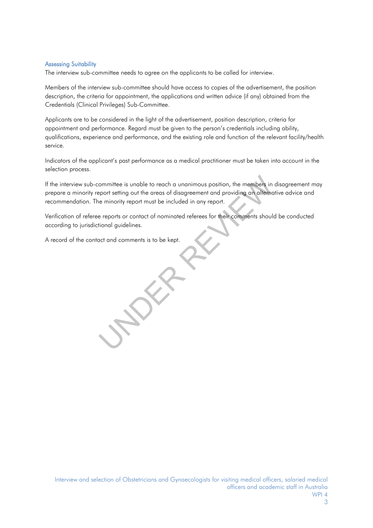#### Assessing Suitability

The interview sub-committee needs to agree on the applicants to be called for interview.

Members of the interview sub-committee should have access to copies of the advertisement, the position description, the criteria for appointment, the applications and written advice (if any) obtained from the Credentials (Clinical Privileges) Sub-Committee.

Applicants are to be considered in the light of the advertisement, position description, criteria for appointment and performance. Regard must be given to the person's credentials including ability, qualifications, experience and performance, and the existing role and function of the relevant facility/health service.

Indicators of the applicant's past performance as a medical practitioner must be taken into account in the selection process.

If the interview sub-committee is unable to reach a unanimous position, the members in disagreement may prepare a minority report setting out the areas of disagreement and providing an alternative advice and recommendation. The minority report must be included in any report. ommittee is unable to reach a unanimous position, the members in<br>eport setting out the areas of disagreement and providing an alternal<br>e minority report must be included in any report.<br>e reports or contact of nominated ref

Verification of referee reports or contact of nominated referees for their comments should be conducted according to jurisdictional guidelines.

A record of the contact and comments is to be kept.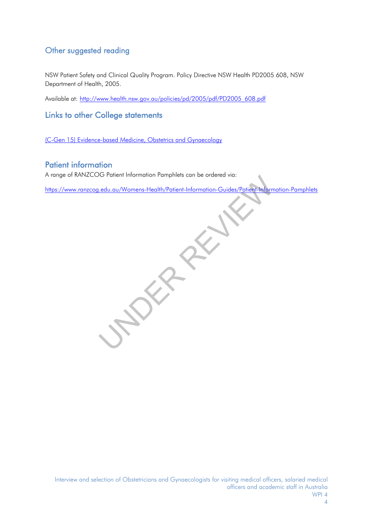# Other suggested reading

NSW Patient Safety and Clinical Quality Program. Policy Directive NSW Health PD2005 608, NSW Department of Health, 2005.

Available at: [http://www.health.nsw.gov.au/policies/pd/2005/pdf/PD2005\\_608.pdf](http://www.health.nsw.gov.au/policies/pd/2005/pdf/PD2005_608.pdf)

Links to other College statements

[\(C-Gen 15\) Evidence-based Medicine, Obstetrics and Gynaecology](https://www.ranzcog.edu.au/RANZCOG_SITE/media/RANZCOG-MEDIA/Women%27s%20Health/Statement%20and%20guidelines/Clinical%20-%20General/Evidence-based-medicine,-Obstetrics-and-Gynaecology-(C-Gen-15)-Review-March-2016.pdf?ext=.pdf)

# Patient information

A range of RANZCOG Patient Information Pamphlets can be ordered via:

https://www.ranzcog.edu.au/Womens-Health/Patient-Information-Guides/Patient-Information-Pamphlets Ledu.au/Womens-Health/Patient-Information-Guides/Patient-Information-Guides/Patient-Information-Guides/Patient-Information-Guides/Patient-Information-Guides/Patient-Information-Guides/Patient-Information-Guides/Patient-Inf

Interview and selection of Obstetricians and Gynaecologists for visiting medical officers, salaried medical officers and academic staff in Australia WPI 4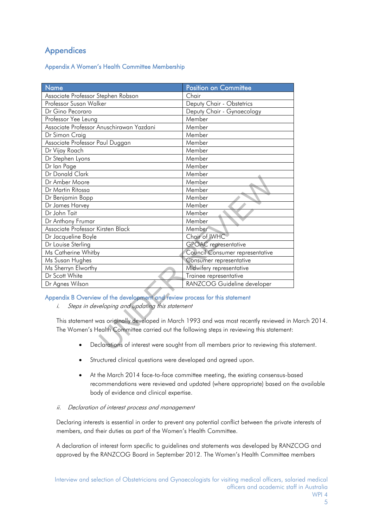# Appendices

## Appendix A Women's Health Committee Membership

| <b>Name</b>                                                                                                                           | <b>Position on Committee</b>    |
|---------------------------------------------------------------------------------------------------------------------------------------|---------------------------------|
| Associate Professor Stephen Robson                                                                                                    | Chair                           |
| Professor Susan Walker                                                                                                                | Deputy Chair - Obstetrics       |
| Dr Gino Pecoraro                                                                                                                      | Deputy Chair - Gynaecology      |
| Professor Yee Leung                                                                                                                   | Member                          |
| Associate Professor Anuschirawan Yazdani                                                                                              | Member                          |
| Dr Simon Craig                                                                                                                        | Member                          |
| Associate Professor Paul Duggan                                                                                                       | Member                          |
| Dr Vijay Roach                                                                                                                        | Member                          |
| Dr Stephen Lyons                                                                                                                      | Member                          |
| Dr Ian Page                                                                                                                           | Member                          |
| Dr Donald Clark                                                                                                                       | Member                          |
| Dr Amber Moore                                                                                                                        | Member                          |
| Dr Martin Ritossa                                                                                                                     | Member                          |
| Dr Benjamin Bopp                                                                                                                      | Member                          |
| Dr James Harvey                                                                                                                       | Member                          |
| Dr John Tait                                                                                                                          | Member                          |
| Dr Anthony Frumar                                                                                                                     | Member                          |
| Associate Professor Kirsten Black                                                                                                     | Member                          |
| Dr Jacqueline Boyle                                                                                                                   | Chair of IWHC                   |
| Dr Louise Sterling                                                                                                                    | <b>GPOAC</b> representative     |
| Ms Catherine Whitby                                                                                                                   | Council Consumer representative |
| Ms Susan Hughes                                                                                                                       | Consumer representative         |
| Ms Sherryn Elworthy                                                                                                                   | Midwifery representative        |
| Dr Scott White                                                                                                                        | Trainee representative          |
| Dr Agnes Wilson                                                                                                                       | RANZCOG Guideline developer     |
| Appendix B Overview of the development and review process for this statement<br>Steps in developing and updating this statement<br>Ĺ. |                                 |
| This statement was originally developed in March 1993 and was most recently reviewed in                                               |                                 |
| The Women's Health Committee carried out the following steps in reviewing this statement:                                             |                                 |
| Declarations of interest were sought from all members prior to reviewing this st                                                      |                                 |

## Appendix B Overview of the development and review process for this statement

This statement was originally developed in March 1993 and was most recently reviewed in March 2014. The Women's Health Committee carried out the following steps in reviewing this statement:

- Declarations of interest were sought from all members prior to reviewing this statement.
- Structured clinical questions were developed and agreed upon.
- At the March 2014 face-to-face committee meeting, the existing consensus-based recommendations were reviewed and updated (where appropriate) based on the available body of evidence and clinical expertise.

## ii. Declaration of interest process and management

Declaring interests is essential in order to prevent any potential conflict between the private interests of members, and their duties as part of the Women's Health Committee.

A declaration of interest form specific to guidelines and statements was developed by RANZCOG and approved by the RANZCOG Board in September 2012. The Women's Health Committee members